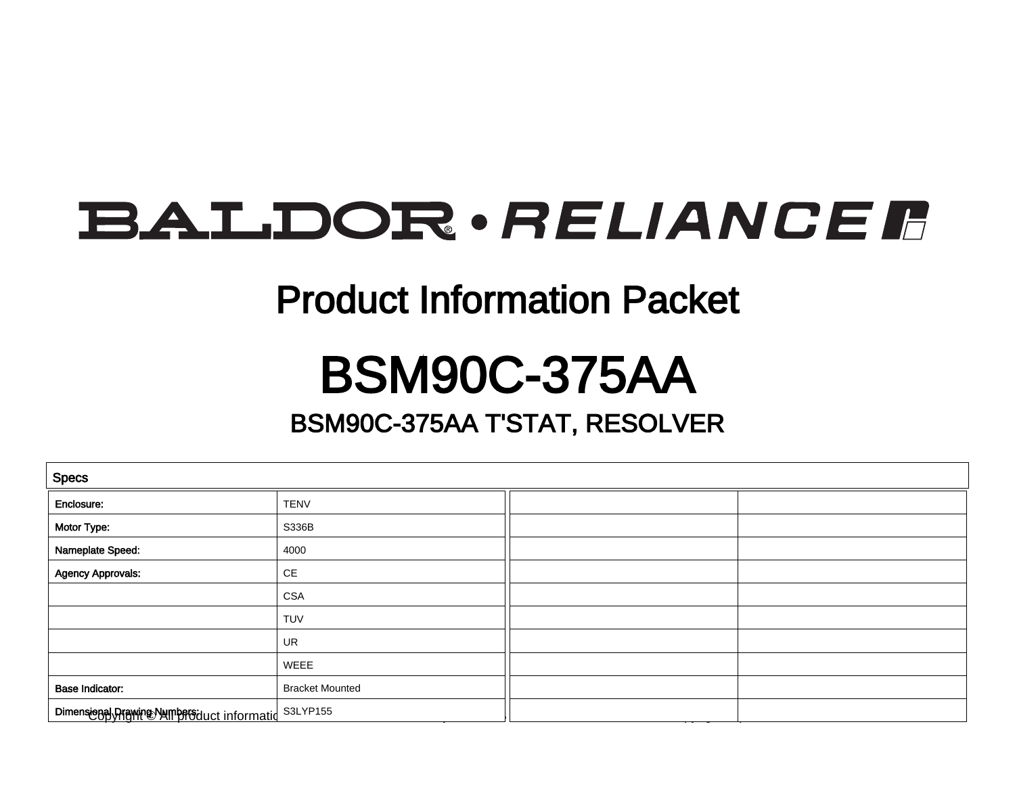## **BALDOR** · RELIANCE F

#### Product Information Packet

### BSM90C-375AA

#### BSM90C-375AA T'STAT, RESOLVER

| <b>Specs</b>                                        |                        |  |  |
|-----------------------------------------------------|------------------------|--|--|
| Enclosure:                                          | <b>TENV</b>            |  |  |
| Motor Type:                                         | S336B                  |  |  |
| Nameplate Speed:                                    | 4000                   |  |  |
| <b>Agency Approvals:</b>                            | $\mathsf{CE}$          |  |  |
|                                                     | <b>CSA</b>             |  |  |
|                                                     | <b>TUV</b>             |  |  |
|                                                     | UR                     |  |  |
|                                                     | WEEE                   |  |  |
| <b>Base Indicator:</b>                              | <b>Bracket Mounted</b> |  |  |
| Dimensional Prawing NumberSduct informatid S3LYP155 |                        |  |  |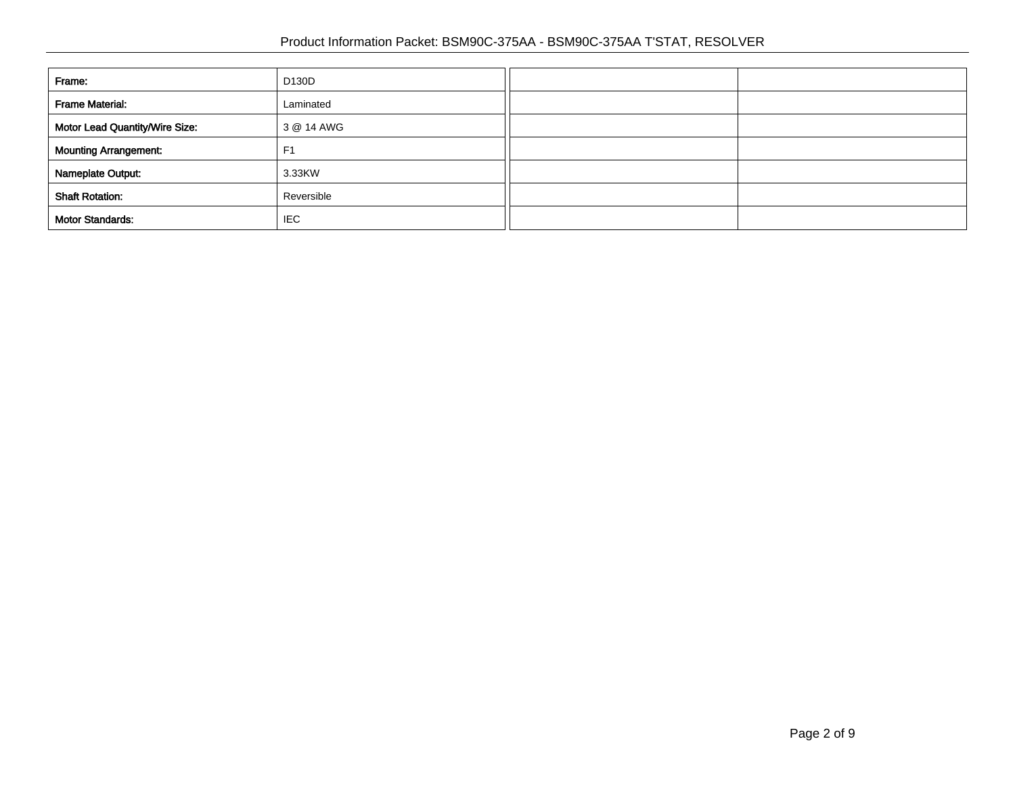| Frame:                         | D130D          |  |
|--------------------------------|----------------|--|
| <b>Frame Material:</b>         | Laminated      |  |
| Motor Lead Quantity/Wire Size: | 3 @ 14 AWG     |  |
| <b>Mounting Arrangement:</b>   | F <sub>1</sub> |  |
| Nameplate Output:              | 3.33KW         |  |
| <b>Shaft Rotation:</b>         | Reversible     |  |
| <b>Motor Standards:</b>        | <b>IEC</b>     |  |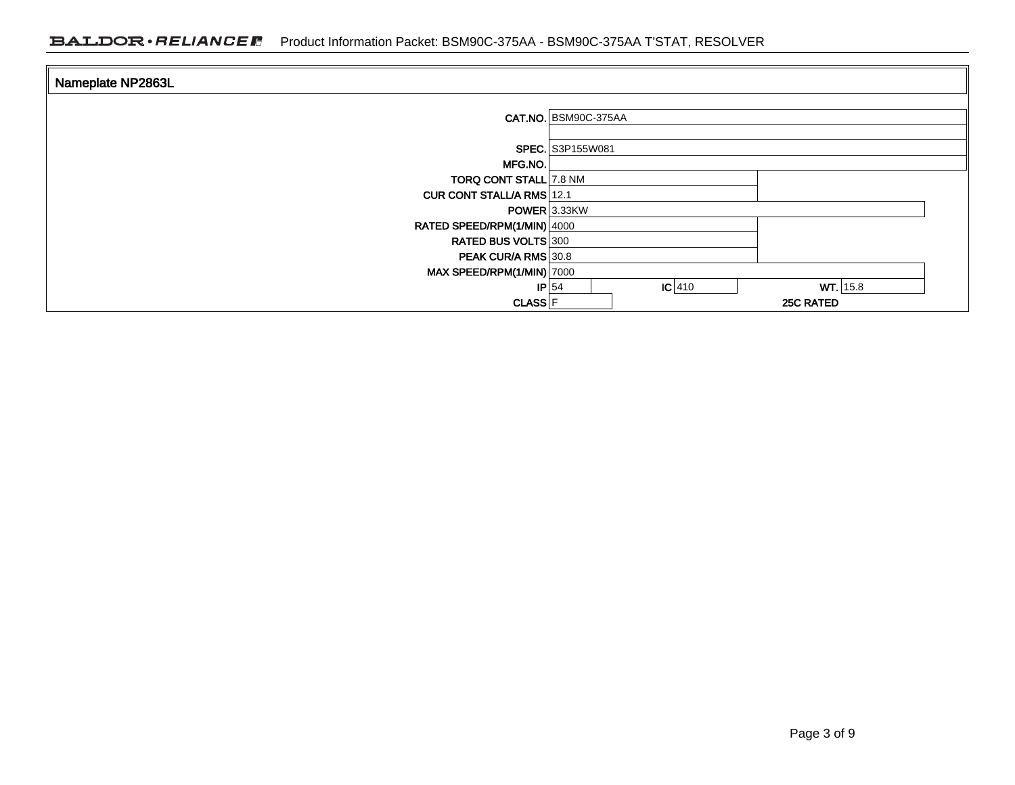| Nameplate NP2863L                                         |                                                         |
|-----------------------------------------------------------|---------------------------------------------------------|
|                                                           | CAT.NO. BSM90C-375AA                                    |
|                                                           | <b>SPEC.</b> S3P155W081                                 |
| MFG.NO.<br><b>TORQ CONT STALL 7.8 NM</b>                  |                                                         |
| <b>CUR CONT STALL/A RMS 12.1</b>                          | POWER 3.33KW                                            |
| RATED SPEED/RPM(1/MIN) 4000<br><b>RATED BUS VOLTS 300</b> |                                                         |
| <b>PEAK CUR/A RMS 30.8</b><br>MAX SPEED/RPM(1/MIN) 7000   |                                                         |
| <b>CLASS</b> F                                            | WT.   15.8<br>$ C $ 410<br>$ P $ 54<br><b>25C RATED</b> |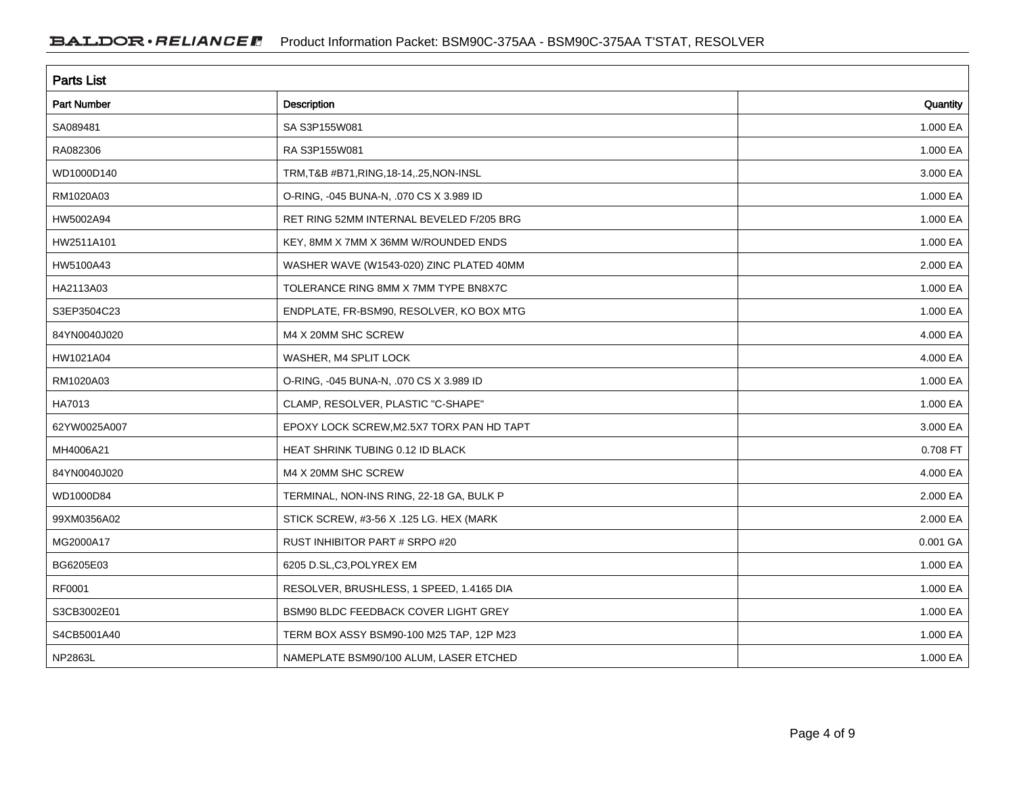| <b>Parts List</b>  |                                           |          |
|--------------------|-------------------------------------------|----------|
| <b>Part Number</b> | Description                               | Quantity |
| SA089481           | SA S3P155W081                             | 1.000 EA |
| RA082306           | RA S3P155W081                             | 1.000 EA |
| WD1000D140         | TRM, T&B #B71, RING, 18-14, .25, NON-INSL | 3.000 EA |
| RM1020A03          | O-RING, -045 BUNA-N, .070 CS X 3.989 ID   | 1.000 EA |
| HW5002A94          | RET RING 52MM INTERNAL BEVELED F/205 BRG  | 1.000 EA |
| HW2511A101         | KEY, 8MM X 7MM X 36MM W/ROUNDED ENDS      | 1.000 EA |
| HW5100A43          | WASHER WAVE (W1543-020) ZINC PLATED 40MM  | 2.000 EA |
| HA2113A03          | TOLERANCE RING 8MM X 7MM TYPE BN8X7C      | 1.000 EA |
| S3EP3504C23        | ENDPLATE, FR-BSM90, RESOLVER, KO BOX MTG  | 1.000 EA |
| 84YN0040J020       | M4 X 20MM SHC SCREW                       | 4.000 EA |
| HW1021A04          | WASHER, M4 SPLIT LOCK                     | 4.000 EA |
| RM1020A03          | O-RING, -045 BUNA-N, .070 CS X 3.989 ID   | 1.000 EA |
| HA7013             | CLAMP, RESOLVER, PLASTIC "C-SHAPE"        | 1.000 EA |
| 62YW0025A007       | EPOXY LOCK SCREW, M2.5X7 TORX PAN HD TAPT | 3.000 EA |
| MH4006A21          | HEAT SHRINK TUBING 0.12 ID BLACK          | 0.708 FT |
| 84YN0040J020       | M4 X 20MM SHC SCREW                       | 4.000 EA |
| WD1000D84          | TERMINAL, NON-INS RING, 22-18 GA, BULK P  | 2.000 EA |
| 99XM0356A02        | STICK SCREW, #3-56 X .125 LG. HEX (MARK   | 2.000 EA |
| MG2000A17          | RUST INHIBITOR PART # SRPO #20            | 0.001 GA |
| BG6205E03          | 6205 D.SL,C3,POLYREX EM                   | 1.000 EA |
| RF0001             | RESOLVER, BRUSHLESS, 1 SPEED, 1.4165 DIA  | 1.000 EA |
| S3CB3002E01        | BSM90 BLDC FEEDBACK COVER LIGHT GREY      | 1.000 EA |
| S4CB5001A40        | TERM BOX ASSY BSM90-100 M25 TAP, 12P M23  | 1.000 EA |
| NP2863L            | NAMEPLATE BSM90/100 ALUM, LASER ETCHED    | 1.000 EA |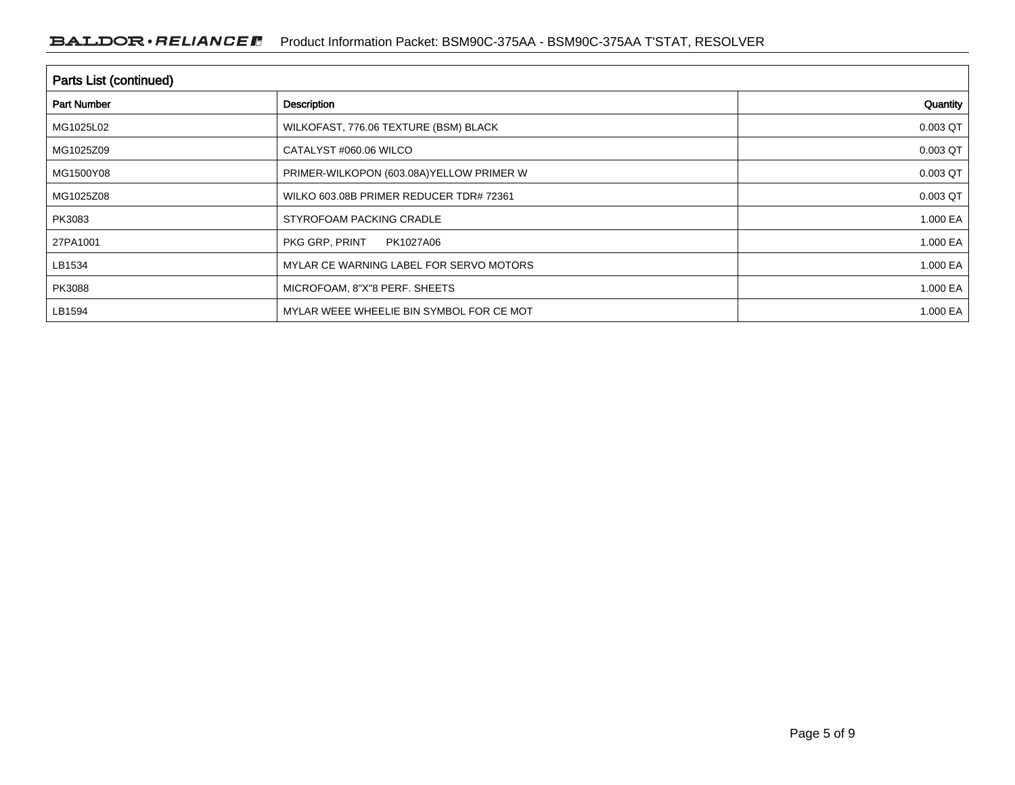| <b>Parts List (continued)</b> |                                           |          |  |
|-------------------------------|-------------------------------------------|----------|--|
| <b>Part Number</b>            | Description                               | Quantity |  |
| MG1025L02                     | WILKOFAST, 776.06 TEXTURE (BSM) BLACK     | 0.003 QT |  |
| MG1025Z09                     | CATALYST #060.06 WILCO                    | 0.003 QT |  |
| MG1500Y08                     | PRIMER-WILKOPON (603.08A) YELLOW PRIMER W | 0.003 QT |  |
| MG1025Z08                     | WILKO 603.08B PRIMER REDUCER TDR# 72361   | 0.003 QT |  |
| PK3083                        | STYROFOAM PACKING CRADLE                  | 1.000 EA |  |
| 27PA1001                      | PKG GRP, PRINT<br>PK1027A06               | 1.000 EA |  |
| LB1534                        | MYLAR CE WARNING LABEL FOR SERVO MOTORS   | 1.000 EA |  |
| PK3088                        | MICROFOAM, 8"X"8 PERF. SHEETS             | 1.000 EA |  |
| LB1594                        | MYLAR WEEE WHEELIE BIN SYMBOL FOR CE MOT  | 1.000 EA |  |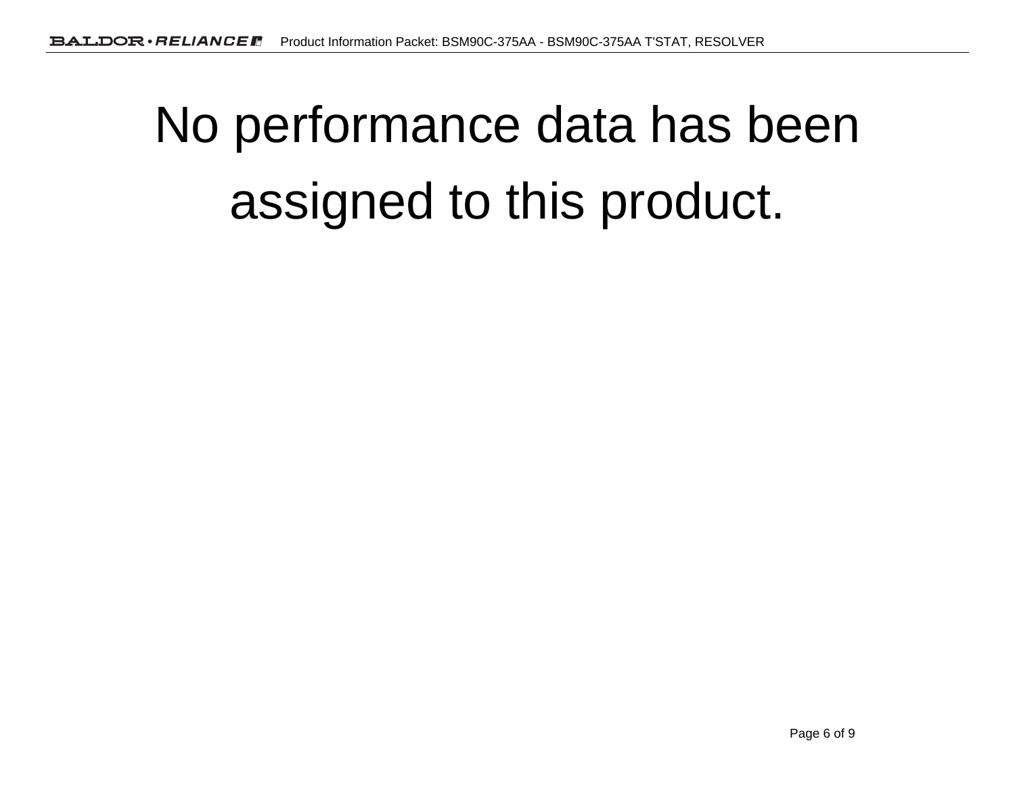# No performance data has beenassigned to this product.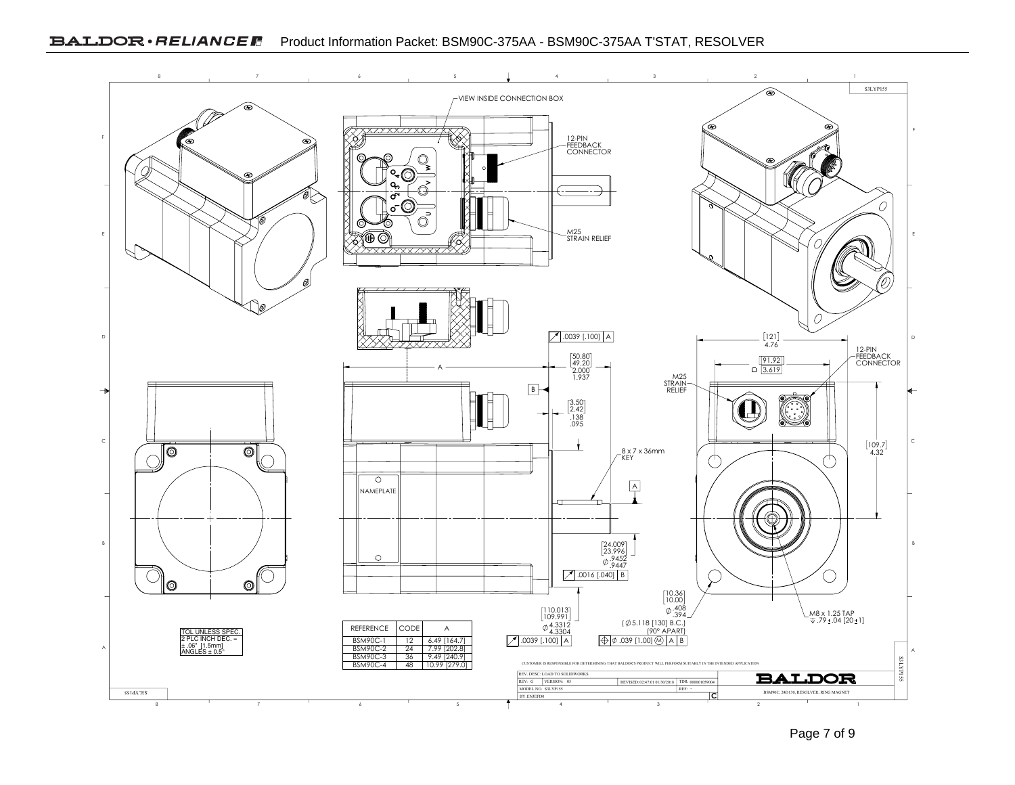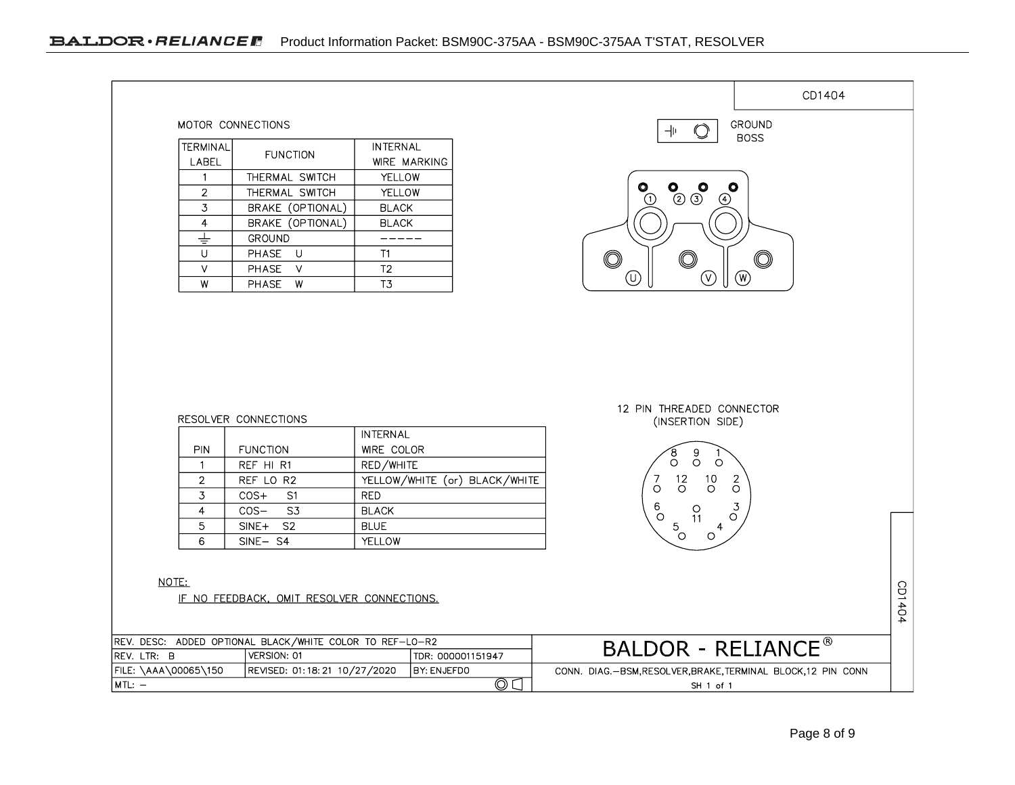